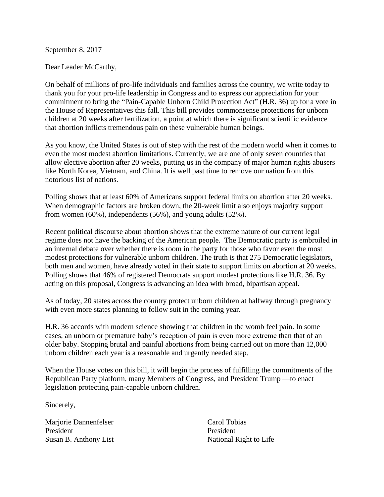September 8, 2017

Dear Leader McCarthy,

On behalf of millions of pro-life individuals and families across the country, we write today to thank you for your pro-life leadership in Congress and to express our appreciation for your commitment to bring the "Pain-Capable Unborn Child Protection Act" (H.R. 36) up for a vote in the House of Representatives this fall. This bill provides commonsense protections for unborn children at 20 weeks after fertilization, a point at which there is significant scientific evidence that abortion inflicts tremendous pain on these vulnerable human beings.

As you know, the United States is out of step with the rest of the modern world when it comes to even the most modest abortion limitations. Currently, we are one of only seven countries that allow elective abortion after 20 weeks, putting us in the company of major human rights abusers like North Korea, Vietnam, and China. It is well past time to remove our nation from this notorious list of nations.

Polling shows that at least 60% of Americans support federal limits on abortion after 20 weeks. When demographic factors are broken down, the 20-week limit also enjoys majority support from women (60%), independents (56%), and young adults (52%).

Recent political discourse about abortion shows that the extreme nature of our current legal regime does not have the backing of the American people. The Democratic party is embroiled in an internal debate over whether there is room in the party for those who favor even the most modest protections for vulnerable unborn children. The truth is that 275 Democratic legislators, both men and women, have already voted in their state to support limits on abortion at 20 weeks. Polling shows that 46% of registered Democrats support modest protections like H.R. 36. By acting on this proposal, Congress is advancing an idea with broad, bipartisan appeal.

As of today, 20 states across the country protect unborn children at halfway through pregnancy with even more states planning to follow suit in the coming year.

H.R. 36 accords with modern science showing that children in the womb feel pain. In some cases, an unborn or premature baby's reception of pain is even more extreme than that of an older baby. Stopping brutal and painful abortions from being carried out on more than 12,000 unborn children each year is a reasonable and urgently needed step.

When the House votes on this bill, it will begin the process of fulfilling the commitments of the Republican Party platform, many Members of Congress, and President Trump —to enact legislation protecting pain-capable unborn children.

Sincerely,

Marjorie Dannenfelser President Susan B. Anthony List Carol Tobias President National Right to Life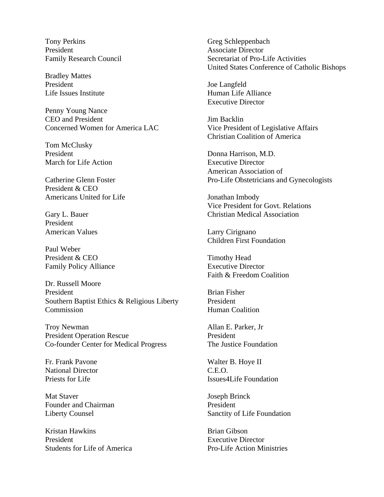Tony Perkins President Family Research Council

Bradley Mattes President Life Issues Institute

Penny Young Nance CEO and President Concerned Women for America LAC

Tom McClusky President March for Life Action

Catherine Glenn Foster President & CEO Americans United for Life

Gary L. Bauer President American Values

Paul Weber President & CEO Family Policy Alliance

Dr. Russell Moore President Southern Baptist Ethics & Religious Liberty Commission

Troy Newman President Operation Rescue Co-founder Center for Medical Progress

Fr. Frank Pavone National Director Priests for Life

Mat Staver Founder and Chairman Liberty Counsel

Kristan Hawkins President Students for Life of America Greg Schleppenbach Associate Director Secretariat of Pro-Life Activities United States Conference of Catholic Bishops

Joe Langfeld Human Life Alliance Executive Director

Jim Backlin Vice President of Legislative Affairs Christian Coalition of America

Donna Harrison, M.D. Executive Director American Association of Pro-Life Obstetricians and Gynecologists

Jonathan Imbody Vice President for Govt. Relations Christian Medical Association

Larry Cirignano Children First Foundation

Timothy Head Executive Director Faith & Freedom Coalition

Brian Fisher President Human Coalition

Allan E. Parker, Jr President The Justice Foundation

Walter B. Hoye II C.E.O. Issues4Life Foundation

Joseph Brinck President Sanctity of Life Foundation

Brian Gibson Executive Director Pro-Life Action Ministries